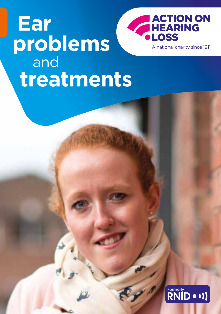## **ACTION ON<br>HEARING Ear LOSS problems** A national charity since 1911 and**treatments**

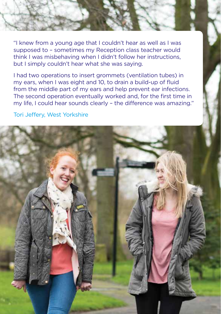"I knew from a young age that I couldn't hear as well as I was supposed to – sometimes my Reception class teacher would think I was misbehaving when I didn't follow her instructions, but I simply couldn't hear what she was saying.

I had two operations to insert grommets (ventilation tubes) in my ears, when I was eight and 10, to drain a build-up of fluid from the middle part of my ears and help prevent ear infections. The second operation eventually worked and, for the first time in my life, I could hear sounds clearly – the difference was amazing."

Tori Jeffery, West Yorkshire

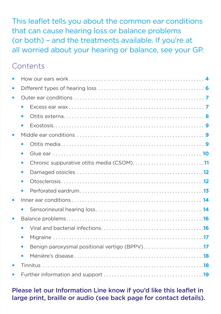This leaflet tells you about the common ear conditions that can cause hearing loss or balance problems (or both) – and the treatments available. If you're at all worried about your hearing or balance, see your GP.

### **Contents**

| $\bullet$ |  |
|-----------|--|
|           |  |
| $\bullet$ |  |
| $\bullet$ |  |
| $\bullet$ |  |
| $\bullet$ |  |
|           |  |
| $\bullet$ |  |
|           |  |
| $\bullet$ |  |
|           |  |
| $\bullet$ |  |
| $\bullet$ |  |
|           |  |
|           |  |
|           |  |
|           |  |
|           |  |

#### Please let our Information Line know if you'd like this leaflet in large print, braille or audio (see back page for contact details).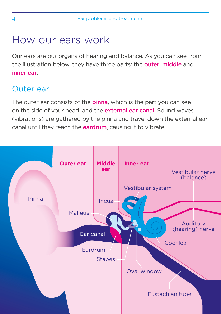## <span id="page-3-0"></span>How our ears work

Our ears are our organs of hearing and balance. As you can see from the illustration below, they have three parts: the **outer, middle** and inner ear.

## Outer ear

The outer ear consists of the **pinna**, which is the part you can see on the side of your head, and the **external ear canal**. Sound waves (vibrations) are gathered by the pinna and travel down the external ear canal until they reach the **eardrum**, causing it to vibrate.

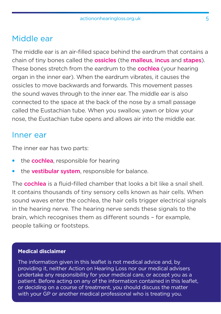### Middle ear

The middle ear is an air-filled space behind the eardrum that contains a chain of tiny bones called the ossicles (the malleus, incus and stapes). These bones stretch from the eardrum to the **cochlea** (your hearing organ in the inner ear). When the eardrum vibrates, it causes the ossicles to move backwards and forwards. This movement passes the sound waves through to the inner ear. The middle ear is also connected to the space at the back of the nose by a small passage called the Eustachian tube. When you swallow, yawn or blow your nose, the Eustachian tube opens and allows air into the middle ear.

#### Inner ear

The inner ear has two parts:

- the **cochlea**, responsible for hearing
- the vestibular system, responsible for balance.

The cochlea is a fluid-filled chamber that looks a bit like a snail shell. It contains thousands of tiny sensory cells known as hair cells. When sound waves enter the cochlea, the hair cells trigger electrical signals in the hearing nerve. The hearing nerve sends these signals to the brain, which recognises them as different sounds – for example, people talking or footsteps.

#### **Medical disclaimer**

The information given in this leaflet is not medical advice and, by providing it, neither Action on Hearing Loss nor our medical advisers undertake any responsibility for your medical care, or accept you as a patient. Before acting on any of the information contained in this leaflet, or deciding on a course of treatment, you should discuss the matter with your GP or another medical professional who is treating you.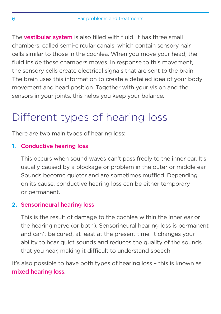<span id="page-5-0"></span>The **vestibular system** is also filled with fluid. It has three small chambers, called semi-circular canals, which contain sensory hair cells similar to those in the cochlea. When you move your head, the fluid inside these chambers moves. In response to this movement, the sensory cells create electrical signals that are sent to the brain. The brain uses this information to create a detailed idea of your body movement and head position. Together with your vision and the sensors in your joints, this helps you keep your balance.

# Different types of hearing loss

There are two main types of hearing loss:

#### **1.** Conductive hearing loss

This occurs when sound waves can't pass freely to the inner ear. It's usually caused by a blockage or problem in the outer or middle ear. Sounds become quieter and are sometimes muffled. Depending on its cause, conductive hearing loss can be either temporary or permanent.

#### **2.** Sensorineural hearing loss

This is the result of damage to the cochlea within the inner ear or the hearing nerve (or both). Sensorineural hearing loss is permanent and can't be cured, at least at the present time. It changes your ability to hear quiet sounds and reduces the quality of the sounds that you hear, making it difficult to understand speech.

It's also possible to have both types of hearing loss – this is known as mixed hearing loss.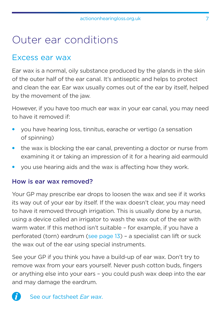## <span id="page-6-0"></span>Outer ear conditions

### Excess ear wax

Ear wax is a normal, oily substance produced by the glands in the skin of the outer half of the ear canal. It's antiseptic and helps to protect and clean the ear. Ear wax usually comes out of the ear by itself, helped by the movement of the jaw.

However, if you have too much ear wax in your ear canal, you may need to have it removed if:

- you have hearing loss, tinnitus, earache or vertigo (a sensation of spinning)
- the wax is blocking the ear canal, preventing a doctor or nurse from examining it or taking an impression of it for a hearing aid earmould
- you use hearing aids and the wax is affecting how they work.

#### How is ear wax removed?

Your GP may prescribe ear drops to loosen the wax and see if it works its way out of your ear by itself. If the wax doesn't clear, you may need to have it removed through irrigation. This is usually done by a nurse, using a device called an irrigator to wash the wax out of the ear with warm water. If this method isn't suitable – for example, if you have a perforated (torn) eardrum [\(see page 13](#page-12-0)) – a specialist can lift or suck the wax out of the ear using special instruments.

See your GP if you think you have a build-up of ear wax. Don't try to remove wax from your ears yourself. Never push cotton buds, fingers or anything else into your ears – you could push wax deep into the ear and may damage the eardrum.

Ĭ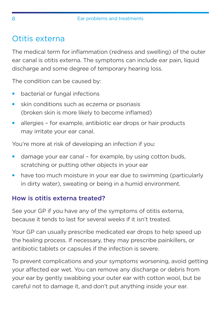## Otitis externa

The medical term for inflammation (redness and swelling) of the outer ear canal is otitis externa. The symptoms can include ear pain, liquid discharge and some degree of temporary hearing loss.

The condition can be caused by:

- bacterial or fungal infections
- skin conditions such as eczema or psoriasis (broken skin is more likely to become inflamed)
- allergies for example, antibiotic ear drops or hair products may irritate your ear canal.

You're more at risk of developing an infection if you:

- damage your ear canal for example, by using cotton buds, scratching or putting other objects in your ear
- have too much moisture in your ear due to swimming (particularly in dirty water), sweating or being in a humid environment.

#### How is otitis externa treated?

See your GP if you have any of the symptoms of otitis externa, because it tends to last for several weeks if it isn't treated.

Your GP can usually prescribe medicated ear drops to help speed up the healing process. If necessary, they may prescribe painkillers, or antibiotic tablets or capsules if the infection is severe.

To prevent complications and your symptoms worsening, avoid getting your affected ear wet. You can remove any discharge or debris from your ear by gently swabbing your outer ear with cotton wool, but be careful not to damage it, and don't put anything inside your ear.

<span id="page-7-0"></span>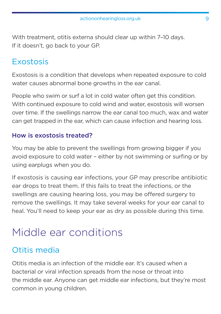<span id="page-8-0"></span>With treatment, otitis externa should clear up within 7–10 days. If it doesn't, go back to your GP.

### Exostosis

Exostosis is a condition that develops when repeated exposure to cold water causes abnormal bone growths in the ear canal.

People who swim or surf a lot in cold water often get this condition. With continued exposure to cold wind and water, exostosis will worsen over time. If the swellings narrow the ear canal too much, wax and water can get trapped in the ear, which can cause infection and hearing loss.

#### How is exostosis treated?

You may be able to prevent the swellings from growing bigger if you avoid exposure to cold water – either by not swimming or surfing or by using earplugs when you do.

If exostosis is causing ear infections, your GP may prescribe antibiotic ear drops to treat them. If this fails to treat the infections, or the swellings are causing hearing loss, you may be offered surgery to remove the swellings. It may take several weeks for your ear canal to heal. You'll need to keep your ear as dry as possible during this time.

# Middle ear conditions

## Otitis media

Otitis media is an infection of the middle ear. It's caused when a bacterial or viral infection spreads from the nose or throat into the middle ear. Anyone can get middle ear infections, but they're most common in young children.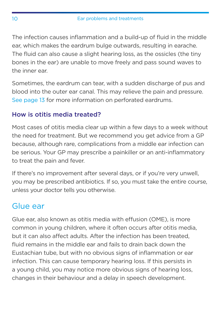The infection causes inflammation and a build-up of fluid in the middle ear, which makes the eardrum bulge outwards, resulting in earache. The fluid can also cause a slight hearing loss, as the ossicles (the tiny bones in the ear) are unable to move freely and pass sound waves to the inner ear.

Sometimes, the eardrum can tear, with a sudden discharge of pus and blood into the outer ear canal. This may relieve the pain and pressure. See [page 13](#page-12-0) for more information on perforated eardrums.

#### How is otitis media treated?

Most cases of otitis media clear up within a few days to a week without the need for treatment. But we recommend you get advice from a GP because, although rare, complications from a middle ear infection can be serious. Your GP may prescribe a painkiller or an anti-inflammatory to treat the pain and fever.

If there's no improvement after several days, or if you're very unwell, you may be prescribed antibiotics. If so, you must take the entire course, unless your doctor tells you otherwise.

## Glue ear

Glue ear, also known as otitis media with effusion (OME), is more common in young children, where it often occurs after otitis media, but it can also affect adults. After the infection has been treated, fluid remains in the middle ear and fails to drain back down the Eustachian tube, but with no obvious signs of inflammation or ear infection. This can cause temporary hearing loss. If this persists in a young child, you may notice more obvious signs of hearing loss, changes in their behaviour and a delay in speech development.

<span id="page-9-0"></span>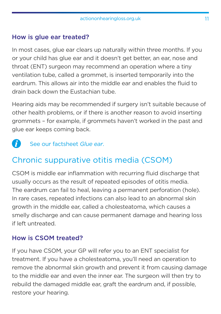#### <span id="page-10-0"></span>How is glue ear treated?

In most cases, glue ear clears up naturally within three months. If you or your child has glue ear and it doesn't get better, an ear, nose and throat (ENT) surgeon may recommend an operation where a tiny ventilation tube, called a grommet, is inserted temporarily into the eardrum. This allows air into the middle ear and enables the fluid to drain back down the Eustachian tube.

Hearing aids may be recommended if surgery isn't suitable because of other health problems, or if there is another reason to avoid inserting grommets – for example, if grommets haven't worked in the past and glue ear keeps coming back.

R See our factsheet *Glue ear*.

## Chronic suppurative otitis media (CSOM)

CSOM is middle ear inflammation with recurring fluid discharge that usually occurs as the result of repeated episodes of otitis media. The eardrum can fail to heal, leaving a permanent perforation (hole). In rare cases, repeated infections can also lead to an abnormal skin growth in the middle ear, called a cholesteatoma, which causes a smelly discharge and can cause permanent damage and hearing loss if left untreated.

#### How is CSOM treated?

If you have CSOM, your GP will refer you to an ENT specialist for treatment. If you have a cholesteatoma, you'll need an operation to remove the abnormal skin growth and prevent it from causing damage to the middle ear and even the inner ear. The surgeon will then try to rebuild the damaged middle ear, graft the eardrum and, if possible, restore your hearing.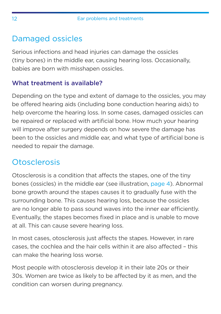## <span id="page-11-0"></span>Damaged ossicles

Serious infections and head injuries can damage the ossicles (tiny bones) in the middle ear, causing hearing loss. Occasionally, babies are born with misshapen ossicles.

#### What treatment is available?

Depending on the type and extent of damage to the ossicles, you may be offered hearing aids (including bone conduction hearing aids) to help overcome the hearing loss. In some cases, damaged ossicles can be repaired or replaced with artificial bone. How much your hearing will improve after surgery depends on how severe the damage has been to the ossicles and middle ear, and what type of artificial bone is needed to repair the damage.

## **Otosclerosis**

Otosclerosis is a condition that affects the stapes, one of the tiny bones (ossicles) in the middle ear (see illustration, [page 4](#page-3-0)). Abnormal bone growth around the stapes causes it to gradually fuse with the surrounding bone. This causes hearing loss, because the ossicles are no longer able to pass sound waves into the inner ear efficiently. Eventually, the stapes becomes fixed in place and is unable to move at all. This can cause severe hearing loss.

In most cases, otosclerosis just affects the stapes. However, in rare cases, the cochlea and the hair cells within it are also affected – this can make the hearing loss worse.

Most people with otosclerosis develop it in their late 20s or their 30s. Women are twice as likely to be affected by it as men, and the condition can worsen during pregnancy.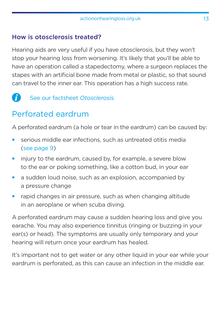#### <span id="page-12-0"></span>How is otosclerosis treated?

Hearing aids are very useful if you have otosclerosis, but they won't stop your hearing loss from worsening. It's likely that you'll be able to have an operation called a stapedectomy, where a surgeon replaces the stapes with an artificial bone made from metal or plastic, so that sound can travel to the inner ear. This operation has a high success rate.

A See our factsheet *Otosclerosis.*

## Perforated eardrum

A perforated eardrum (a hole or tear in the eardrum) can be caused by:

- serious middle ear infections, such as untreated otitis media [\(see page 9\)](#page-8-0)
- injury to the eardrum, caused by, for example, a severe blow to the ear or poking something, like a cotton bud, in your ear
- a sudden loud noise, such as an explosion, accompanied by a pressure change
- rapid changes in air pressure, such as when changing altitude in an aeroplane or when scuba diving.

A perforated eardrum may cause a sudden hearing loss and give you earache. You may also experience tinnitus (ringing or buzzing in your ear(s) or head). The symptoms are usually only temporary and your hearing will return once your eardrum has healed.

It's important not to get water or any other liquid in your ear while your eardrum is perforated, as this can cause an infection in the middle ear.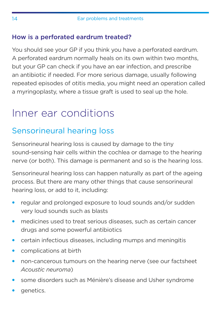#### <span id="page-13-0"></span>How is a perforated eardrum treated?

You should see your GP if you think you have a perforated eardrum. A perforated eardrum normally heals on its own within two months, but your GP can check if you have an ear infection, and prescribe an antibiotic if needed. For more serious damage, usually following repeated episodes of otitis media, you might need an operation called a myringoplasty, where a tissue graft is used to seal up the hole.

## Inner ear conditions

## Sensorineural hearing loss

Sensorineural hearing loss is caused by damage to the tiny sound-sensing hair cells within the cochlea or damage to the hearing nerve (or both). This damage is permanent and so is the hearing loss.

Sensorineural hearing loss can happen naturally as part of the ageing process. But there are many other things that cause sensorineural hearing loss, or add to it, including:

- regular and prolonged exposure to loud sounds and/or sudden very loud sounds such as blasts
- medicines used to treat serious diseases, such as certain cancer drugs and some powerful antibiotics
- certain infectious diseases, including mumps and meningitis
- complications at birth
- non-cancerous tumours on the hearing nerve (see our factsheet *Acoustic neuroma*)
- some disorders such as Ménière's disease and Usher syndrome
- genetics.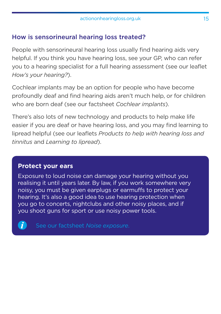#### How is sensorineural hearing loss treated?

People with sensorineural hearing loss usually find hearing aids very helpful. If you think you have hearing loss, see your GP, who can refer you to a hearing specialist for a full hearing assessment (see our leaflet *How's your hearing?*).

Cochlear implants may be an option for people who have become profoundly deaf and find hearing aids aren't much help, or for children who are born deaf (see our factsheet *Cochlear implants*).

There's also lots of new technology and products to help make life easier if you are deaf or have hearing loss, and you may find learning to lipread helpful (see our leaflets *Products to help with hearing loss and tinnitus* and *Learning to lipread*).

#### **Protect your ears**

Exposure to loud noise can damage your hearing without you realising it until years later. By law, if you work somewhere very noisy, you must be given earplugs or earmuffs to protect your hearing. It's also a good idea to use hearing protection when you go to concerts, nightclubs and other noisy places, and if you shoot guns for sport or use noisy power tools.



See our factsheet *Noise exposure*.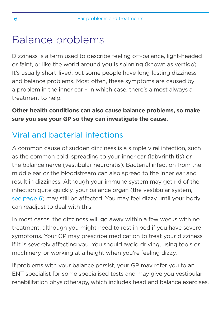## <span id="page-15-0"></span>Balance problems

Dizziness is a term used to describe feeling off-balance, light-headed or faint, or like the world around you is spinning (known as vertigo). It's usually short-lived, but some people have long-lasting dizziness and balance problems. Most often, these symptoms are caused by a problem in the inner ear – in which case, there's almost always a treatment to help.

**Other health conditions can also cause balance problems, so make sure you see your GP so they can investigate the cause.**

## Viral and bacterial infections

A common cause of sudden dizziness is a simple viral infection, such as the common cold, spreading to your inner ear (labyrinthitis) or the balance nerve (vestibular neuronitis). Bacterial infection from the middle ear or the bloodstream can also spread to the inner ear and result in dizziness. Although your immune system may get rid of the infection quite quickly, your balance organ (the vestibular system, [see page](#page-5-0) 6) may still be affected. You may feel dizzy until your body can readjust to deal with this.

In most cases, the dizziness will go away within a few weeks with no treatment, although you might need to rest in bed if you have severe symptoms. Your GP may prescribe medication to treat your dizziness if it is severely affecting you. You should avoid driving, using tools or machinery, or working at a height when you're feeling dizzy.

If problems with your balance persist, your GP may refer you to an ENT specialist for some specialised tests and may give you vestibular rehabilitation physiotherapy, which includes head and balance exercises.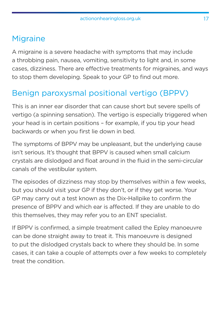### <span id="page-16-0"></span>**Migraine**

A migraine is a severe headache with symptoms that may include a throbbing pain, nausea, vomiting, sensitivity to light and, in some cases, dizziness. There are effective treatments for migraines, and ways to stop them developing. Speak to your GP to find out more.

## Benign paroxysmal positional vertigo (BPPV)

This is an inner ear disorder that can cause short but severe spells of vertigo (a spinning sensation). The vertigo is especially triggered when your head is in certain positions – for example, if you tip your head backwards or when you first lie down in bed.

The symptoms of BPPV may be unpleasant, but the underlying cause isn't serious. It's thought that BPPV is caused when small calcium crystals are dislodged and float around in the fluid in the semi-circular canals of the vestibular system.

The episodes of dizziness may stop by themselves within a few weeks, but you should visit your GP if they don't, or if they get worse. Your GP may carry out a test known as the Dix-Hallpike to confirm the presence of BPPV and which ear is affected. If they are unable to do this themselves, they may refer you to an ENT specialist.

If BPPV is confirmed, a simple treatment called the Epley manoeuvre can be done straight away to treat it. This manoeuvre is designed to put the dislodged crystals back to where they should be. In some cases, it can take a couple of attempts over a few weeks to completely treat the condition.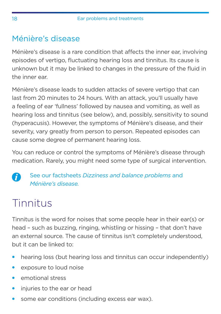## <span id="page-17-0"></span>Ménière's disease

Ménière's disease is a rare condition that affects the inner ear, involving episodes of vertigo, fluctuating hearing loss and tinnitus. Its cause is unknown but it may be linked to changes in the pressure of the fluid in the inner ear.

Ménière's disease leads to sudden attacks of severe vertigo that can last from 20 minutes to 24 hours. With an attack, you'll usually have a feeling of ear 'fullness' followed by nausea and vomiting, as well as hearing loss and tinnitus (see below), and, possibly, sensitivity to sound (hyperacusis). However, the symptoms of Ménière's disease, and their severity, vary greatly from person to person. Repeated episodes can cause some degree of permanent hearing loss.

You can reduce or control the symptoms of Ménière's disease through medication. Rarely, you might need some type of surgical intervention.

See our factsheets *Dizziness and balance problems* and f *Ménière's disease.*

# Tinnitus

Tinnitus is the word for noises that some people hear in their ear(s) or head – such as buzzing, ringing, whistling or hissing – that don't have an external source. The cause of tinnitus isn't completely understood, but it can be linked to:

- hearing loss (but hearing loss and tinnitus can occur independently)
- exposure to loud noise
- emotional stress
- injuries to the ear or head
- some ear conditions (including excess ear wax).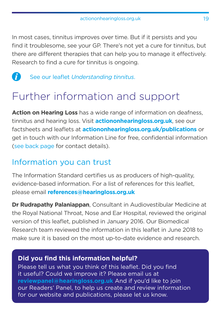<span id="page-18-0"></span>In most cases, tinnitus improves over time. But if it persists and you find it troublesome, see your GP. There's not yet a cure for tinnitus, but there are different therapies that can help you to manage it effectively. Research to find a cure for tinnitus is ongoing.

 $\bullet$ See our leaflet *Understanding tinnitus*.

# Further information and support

**Action on Hearing Loss** has a wide range of information on deafness, tinnitus and hearing loss. Visit **[actiononhearingloss.org.uk](http://actiononhearingloss.org.uk/factsheets)**, see our factsheets and leaflets at **[actiononhearingloss.org.uk](http://actiononhearingloss.org.uk/factsheets)/publications** or get in touch with our Information Line for free, confidential information [\(see back page](#page-19-0) for contact details).

## Information you can trust

The Information Standard certifies us as producers of high-quality, evidence-based information. For a list of references for this leaflet, please email **[references@hearingloss.org.uk](mailto:references%40hearingloss.org.uk?subject=)**

**Dr Rudrapathy Palaniappan**, Consultant in Audiovestibular Medicine at the Royal National Throat, Nose and Ear Hospital, reviewed the original version of this leaflet, published in January 2016. Our Biomedical Research team reviewed the information in this leaflet in June 2018 to make sure it is based on the most up-to-date evidence and research.

#### **Did you find this information helpful?**

Please tell us what you think of this leaflet. Did you find it useful? Could we improve it? Please email us at **reviewpanel@hearingloss.org.uk** And if you'd like to join our Readers' Panel, to help us create and review information for our website and publications, please let us know.